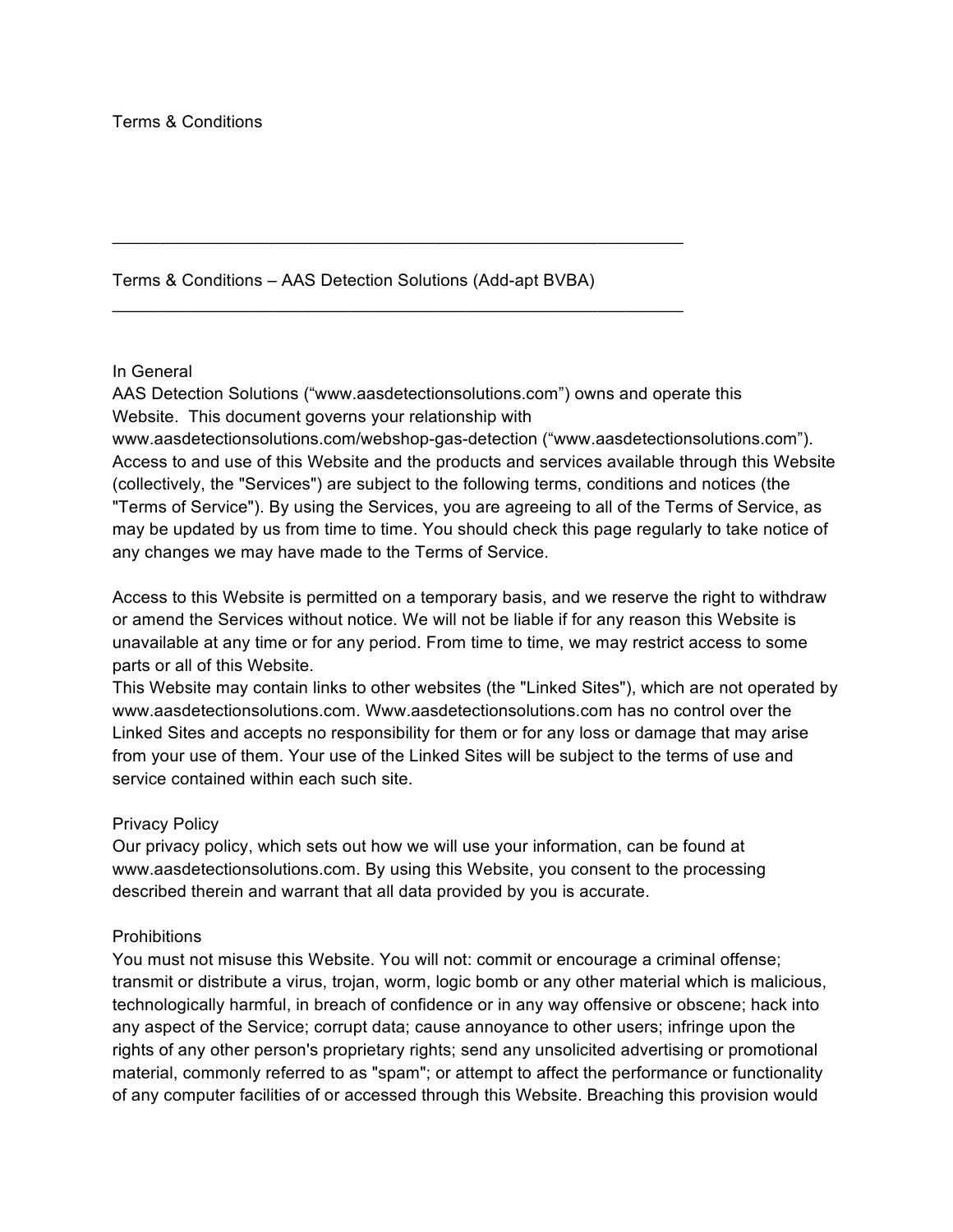Terms & Conditions – AAS Detection Solutions (Add-apt BVBA)

 $\mathcal{L}_\text{max}$  , and the contract of the contract of the contract of the contract of the contract of the contract of the contract of the contract of the contract of the contract of the contract of the contract of the contr

### In General

AAS Detection Solutions ("www.aasdetectionsolutions.com") owns and operate this Website. This document governs your relationship with

www.aasdetectionsolutions.com/webshop-gas-detection ("www.aasdetectionsolutions.com"). Access to and use of this Website and the products and services available through this Website (collectively, the "Services") are subject to the following terms, conditions and notices (the "Terms of Service"). By using the Services, you are agreeing to all of the Terms of Service, as may be updated by us from time to time. You should check this page regularly to take notice of any changes we may have made to the Terms of Service.

Access to this Website is permitted on a temporary basis, and we reserve the right to withdraw or amend the Services without notice. We will not be liable if for any reason this Website is unavailable at any time or for any period. From time to time, we may restrict access to some parts or all of this Website.

This Website may contain links to other websites (the "Linked Sites"), which are not operated by www.aasdetectionsolutions.com. Www.aasdetectionsolutions.com has no control over the Linked Sites and accepts no responsibility for them or for any loss or damage that may arise from your use of them. Your use of the Linked Sites will be subject to the terms of use and service contained within each such site.

#### Privacy Policy

Our privacy policy, which sets out how we will use your information, can be found at www.aasdetectionsolutions.com. By using this Website, you consent to the processing described therein and warrant that all data provided by you is accurate.

#### **Prohibitions**

You must not misuse this Website. You will not: commit or encourage a criminal offense; transmit or distribute a virus, trojan, worm, logic bomb or any other material which is malicious, technologically harmful, in breach of confidence or in any way offensive or obscene; hack into any aspect of the Service; corrupt data; cause annoyance to other users; infringe upon the rights of any other person's proprietary rights; send any unsolicited advertising or promotional material, commonly referred to as "spam"; or attempt to affect the performance or functionality of any computer facilities of or accessed through this Website. Breaching this provision would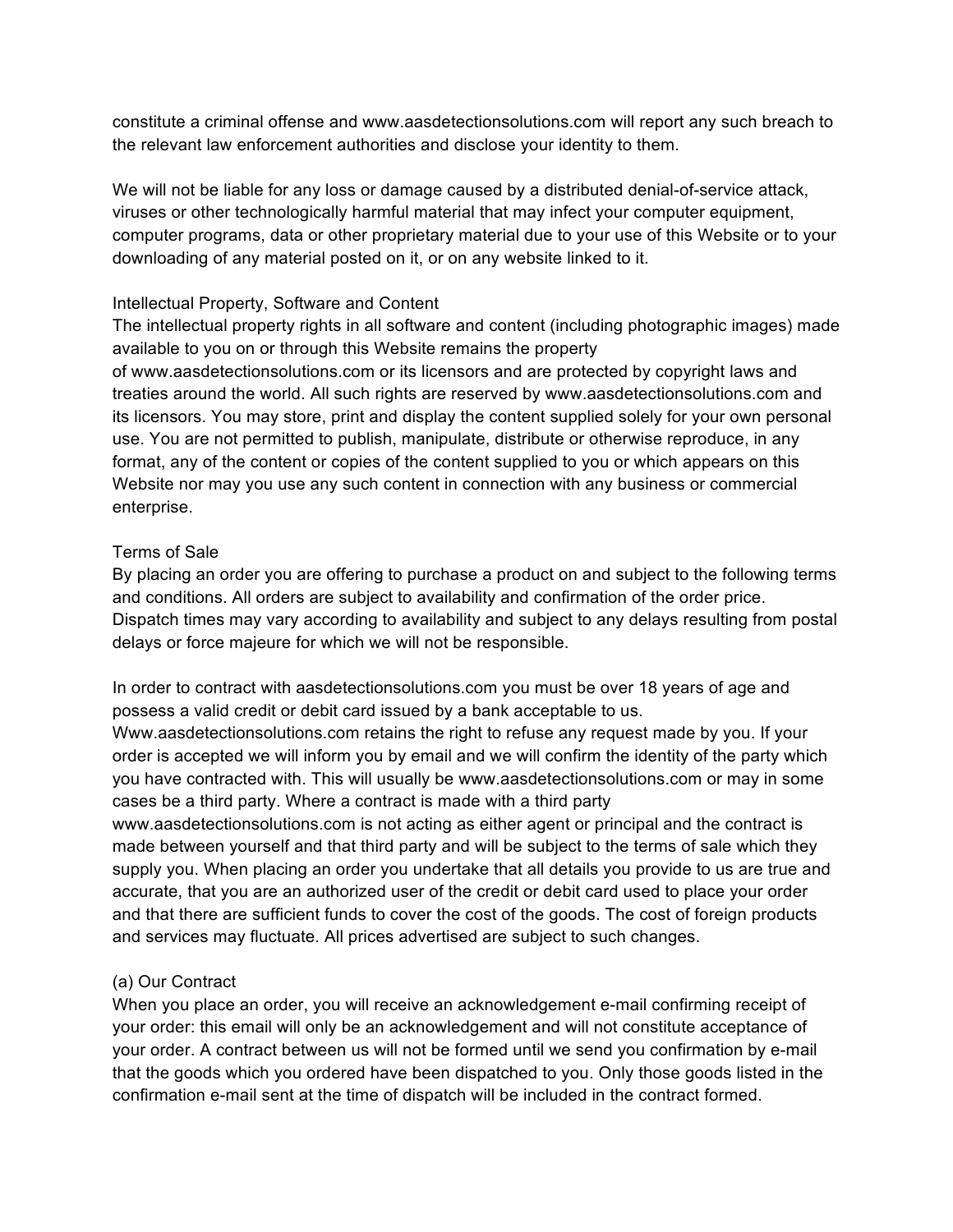constitute a criminal offense and www.aasdetectionsolutions.com will report any such breach to the relevant law enforcement authorities and disclose your identity to them.

We will not be liable for any loss or damage caused by a distributed denial-of-service attack, viruses or other technologically harmful material that may infect your computer equipment, computer programs, data or other proprietary material due to your use of this Website or to your downloading of any material posted on it, or on any website linked to it.

# Intellectual Property, Software and Content

The intellectual property rights in all software and content (including photographic images) made available to you on or through this Website remains the property

of www.aasdetectionsolutions.com or its licensors and are protected by copyright laws and treaties around the world. All such rights are reserved by www.aasdetectionsolutions.com and its licensors. You may store, print and display the content supplied solely for your own personal use. You are not permitted to publish, manipulate, distribute or otherwise reproduce, in any format, any of the content or copies of the content supplied to you or which appears on this Website nor may you use any such content in connection with any business or commercial enterprise.

### Terms of Sale

By placing an order you are offering to purchase a product on and subject to the following terms and conditions. All orders are subject to availability and confirmation of the order price. Dispatch times may vary according to availability and subject to any delays resulting from postal delays or force majeure for which we will not be responsible.

In order to contract with aasdetectionsolutions.com you must be over 18 years of age and possess a valid credit or debit card issued by a bank acceptable to us.

Www.aasdetectionsolutions.com retains the right to refuse any request made by you. If your order is accepted we will inform you by email and we will confirm the identity of the party which you have contracted with. This will usually be www.aasdetectionsolutions.com or may in some cases be a third party. Where a contract is made with a third party

www.aasdetectionsolutions.com is not acting as either agent or principal and the contract is made between yourself and that third party and will be subject to the terms of sale which they supply you. When placing an order you undertake that all details you provide to us are true and accurate, that you are an authorized user of the credit or debit card used to place your order and that there are sufficient funds to cover the cost of the goods. The cost of foreign products and services may fluctuate. All prices advertised are subject to such changes.

# (a) Our Contract

When you place an order, you will receive an acknowledgement e-mail confirming receipt of your order: this email will only be an acknowledgement and will not constitute acceptance of your order. A contract between us will not be formed until we send you confirmation by e-mail that the goods which you ordered have been dispatched to you. Only those goods listed in the confirmation e-mail sent at the time of dispatch will be included in the contract formed.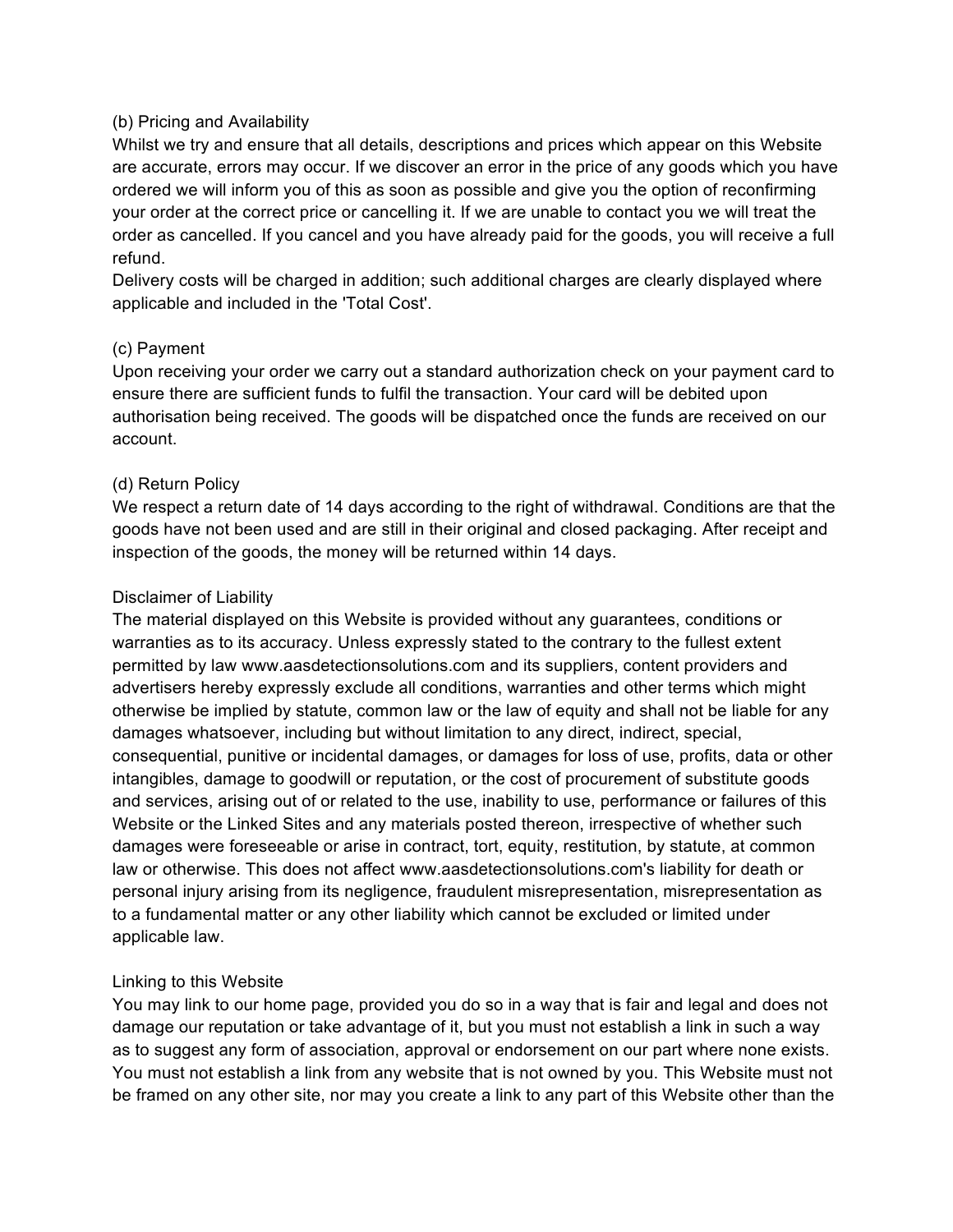# (b) Pricing and Availability

Whilst we try and ensure that all details, descriptions and prices which appear on this Website are accurate, errors may occur. If we discover an error in the price of any goods which you have ordered we will inform you of this as soon as possible and give you the option of reconfirming your order at the correct price or cancelling it. If we are unable to contact you we will treat the order as cancelled. If you cancel and you have already paid for the goods, you will receive a full refund.

Delivery costs will be charged in addition; such additional charges are clearly displayed where applicable and included in the 'Total Cost'.

### (c) Payment

Upon receiving your order we carry out a standard authorization check on your payment card to ensure there are sufficient funds to fulfil the transaction. Your card will be debited upon authorisation being received. The goods will be dispatched once the funds are received on our account.

### (d) Return Policy

We respect a return date of 14 days according to the right of withdrawal. Conditions are that the goods have not been used and are still in their original and closed packaging. After receipt and inspection of the goods, the money will be returned within 14 days.

### Disclaimer of Liability

The material displayed on this Website is provided without any guarantees, conditions or warranties as to its accuracy. Unless expressly stated to the contrary to the fullest extent permitted by law www.aasdetectionsolutions.com and its suppliers, content providers and advertisers hereby expressly exclude all conditions, warranties and other terms which might otherwise be implied by statute, common law or the law of equity and shall not be liable for any damages whatsoever, including but without limitation to any direct, indirect, special, consequential, punitive or incidental damages, or damages for loss of use, profits, data or other intangibles, damage to goodwill or reputation, or the cost of procurement of substitute goods and services, arising out of or related to the use, inability to use, performance or failures of this Website or the Linked Sites and any materials posted thereon, irrespective of whether such damages were foreseeable or arise in contract, tort, equity, restitution, by statute, at common law or otherwise. This does not affect www.aasdetectionsolutions.com's liability for death or personal injury arising from its negligence, fraudulent misrepresentation, misrepresentation as to a fundamental matter or any other liability which cannot be excluded or limited under applicable law.

# Linking to this Website

You may link to our home page, provided you do so in a way that is fair and legal and does not damage our reputation or take advantage of it, but you must not establish a link in such a way as to suggest any form of association, approval or endorsement on our part where none exists. You must not establish a link from any website that is not owned by you. This Website must not be framed on any other site, nor may you create a link to any part of this Website other than the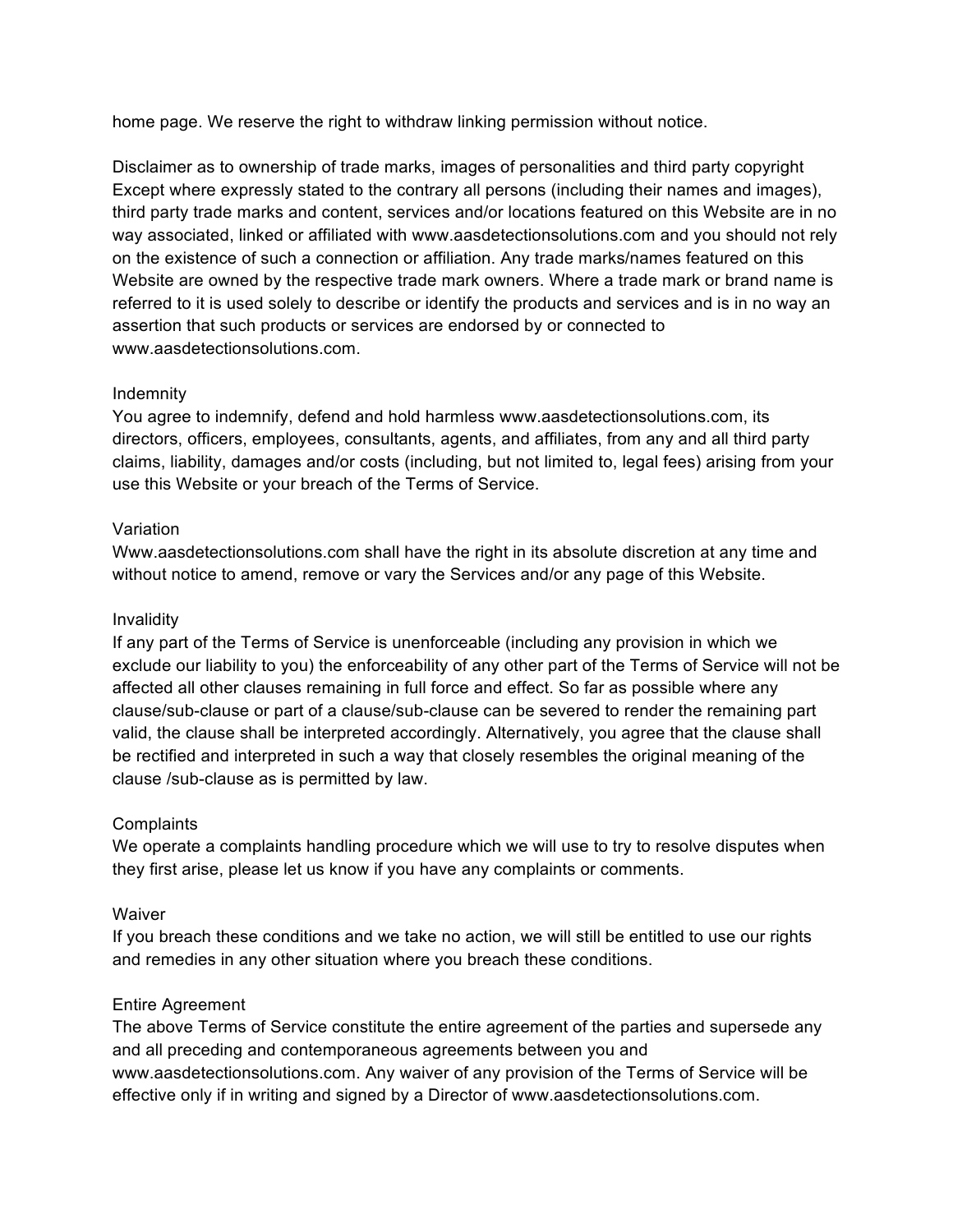home page. We reserve the right to withdraw linking permission without notice.

Disclaimer as to ownership of trade marks, images of personalities and third party copyright Except where expressly stated to the contrary all persons (including their names and images), third party trade marks and content, services and/or locations featured on this Website are in no way associated, linked or affiliated with www.aasdetectionsolutions.com and you should not rely on the existence of such a connection or affiliation. Any trade marks/names featured on this Website are owned by the respective trade mark owners. Where a trade mark or brand name is referred to it is used solely to describe or identify the products and services and is in no way an assertion that such products or services are endorsed by or connected to www.aasdetectionsolutions.com.

### Indemnity

You agree to indemnify, defend and hold harmless www.aasdetectionsolutions.com, its directors, officers, employees, consultants, agents, and affiliates, from any and all third party claims, liability, damages and/or costs (including, but not limited to, legal fees) arising from your use this Website or your breach of the Terms of Service.

### Variation

Www.aasdetectionsolutions.com shall have the right in its absolute discretion at any time and without notice to amend, remove or vary the Services and/or any page of this Website.

# Invalidity

If any part of the Terms of Service is unenforceable (including any provision in which we exclude our liability to you) the enforceability of any other part of the Terms of Service will not be affected all other clauses remaining in full force and effect. So far as possible where any clause/sub-clause or part of a clause/sub-clause can be severed to render the remaining part valid, the clause shall be interpreted accordingly. Alternatively, you agree that the clause shall be rectified and interpreted in such a way that closely resembles the original meaning of the clause /sub-clause as is permitted by law.

#### **Complaints**

We operate a complaints handling procedure which we will use to try to resolve disputes when they first arise, please let us know if you have any complaints or comments.

#### Waiver

If you breach these conditions and we take no action, we will still be entitled to use our rights and remedies in any other situation where you breach these conditions.

#### Entire Agreement

The above Terms of Service constitute the entire agreement of the parties and supersede any and all preceding and contemporaneous agreements between you and www.aasdetectionsolutions.com. Any waiver of any provision of the Terms of Service will be effective only if in writing and signed by a Director of www.aasdetectionsolutions.com.